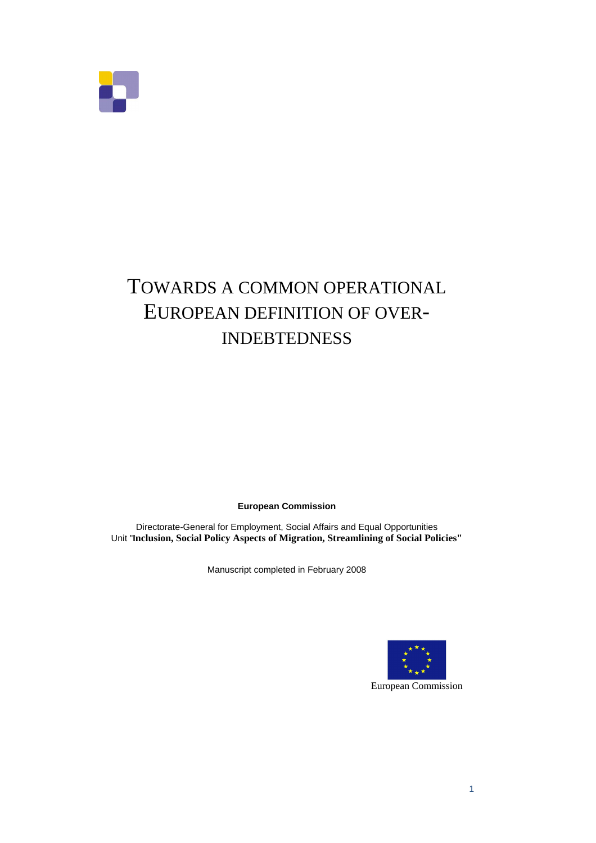

# TOWARDS A COMMON OPERATIONAL EUROPEAN DEFINITION OF OVER-INDEBTEDNESS

**European Commission** 

Directorate-General for Employment, Social Affairs and Equal Opportunities Unit "**Inclusion, Social Policy Aspects of Migration, Streamlining of Social Policies"**

Manuscript completed in February 2008



European Commission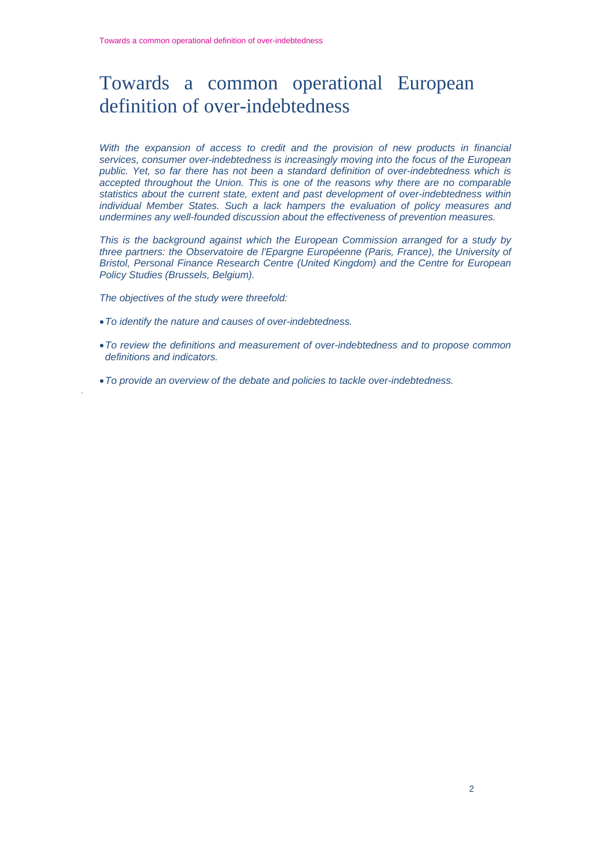## Towards a common operational European definition of over-indebtedness

*With the expansion of access to credit and the provision of new products in financial services, consumer over-indebtedness is increasingly moving into the focus of the European public. Yet, so far there has not been a standard definition of over-indebtedness which is accepted throughout the Union. This is one of the reasons why there are no comparable statistics about the current state, extent and past development of over-indebtedness within individual Member States. Such a lack hampers the evaluation of policy measures and undermines any well-founded discussion about the effectiveness of prevention measures.* 

*This is the background against which the European Commission arranged for a study by three partners: the Observatoire de l'Epargne Européenne (Paris, France), the University of Bristol, Personal Finance Research Centre (United Kingdom) and the Centre for European Policy Studies (Brussels, Belgium).* 

*The objectives of the study were threefold:* 

- •*To identify the nature and causes of over-indebtedness.*
- •*To review the definitions and measurement of over-indebtedness and to propose common definitions and indicators.*
- •*To provide an overview of the debate and policies to tackle over-indebtedness. .*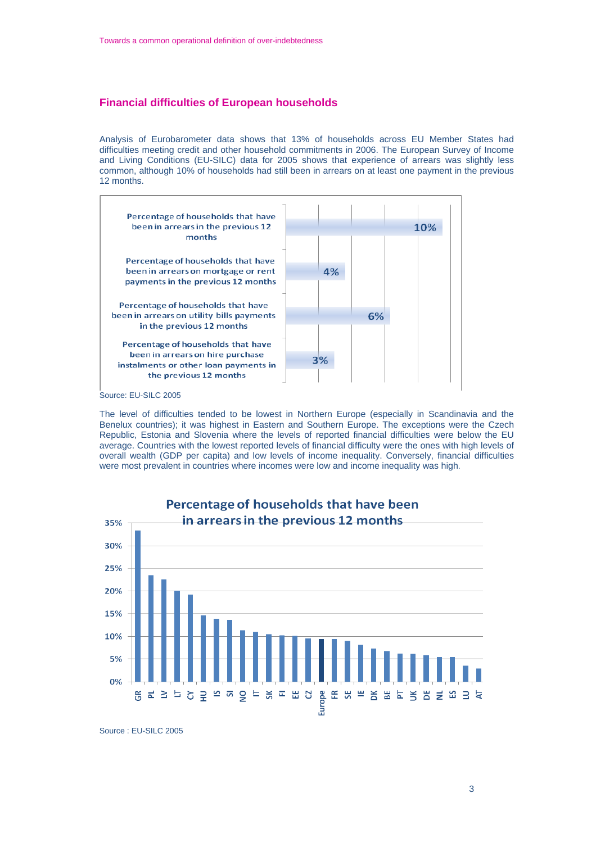## **Financial difficulties of European households**

Analysis of Eurobarometer data shows that 13% of households across EU Member States had difficulties meeting credit and other household commitments in 2006. The European Survey of Income and Living Conditions (EU-SILC) data for 2005 shows that experience of arrears was slightly less common, although 10% of households had still been in arrears on at least one payment in the previous 12 months.



Source: EU-SILC 2005

The level of difficulties tended to be lowest in Northern Europe (especially in Scandinavia and the Benelux countries); it was highest in Eastern and Southern Europe. The exceptions were the Czech Republic, Estonia and Slovenia where the levels of reported financial difficulties were below the EU average. Countries with the lowest reported levels of financial difficulty were the ones with high levels of overall wealth (GDP per capita) and low levels of income inequality. Conversely, financial difficulties were most prevalent in countries where incomes were low and income inequality was high.



Source : EU-SILC 2005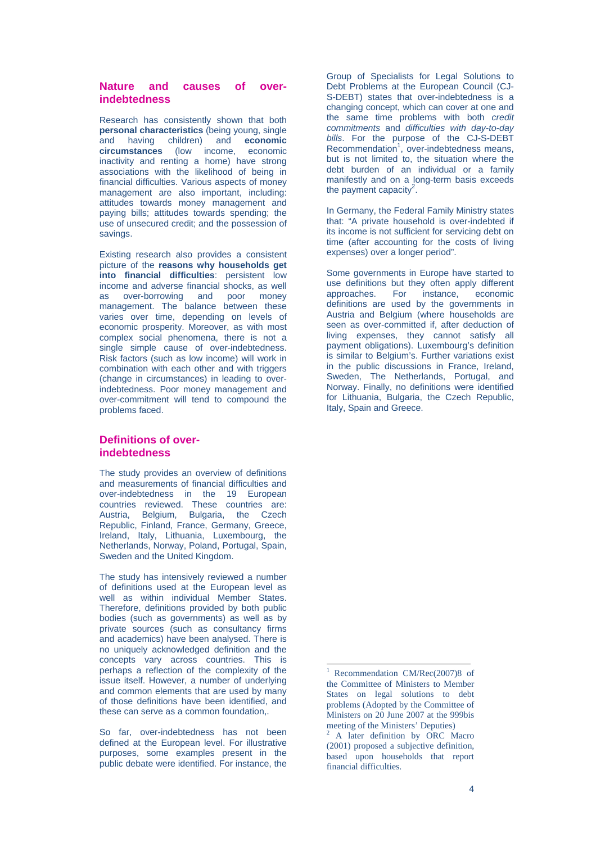## **Nature and causes of overindebtedness**

Research has consistently shown that both **personal characteristics** (being young, single and having children) and **economic circumstances** (low income, economic inactivity and renting a home) have strong associations with the likelihood of being in financial difficulties. Various aspects of money management are also important, including: attitudes towards money management and paying bills; attitudes towards spending; the use of unsecured credit; and the possession of savings.

Existing research also provides a consistent picture of the **reasons why households get into financial difficulties**: persistent low income and adverse financial shocks, as well as over-borrowing and poor money management. The balance between these varies over time, depending on levels of economic prosperity. Moreover, as with most complex social phenomena, there is not a single simple cause of over-indebtedness. Risk factors (such as low income) will work in combination with each other and with triggers (change in circumstances) in leading to overindebtedness. Poor money management and over-commitment will tend to compound the problems faced.

## **Definitions of overindebtedness**

The study provides an overview of definitions and measurements of financial difficulties and over-indebtedness in the 19 European countries reviewed. These countries are: Austria, Belgium, Bulgaria, the Czech Republic, Finland, France, Germany, Greece, Ireland, Italy, Lithuania, Luxembourg, the Netherlands, Norway, Poland, Portugal, Spain, Sweden and the United Kingdom.

The study has intensively reviewed a number of definitions used at the European level as well as within individual Member States. Therefore, definitions provided by both public bodies (such as governments) as well as by private sources (such as consultancy firms and academics) have been analysed. There is no uniquely acknowledged definition and the concepts vary across countries. This is perhaps a reflection of the complexity of the issue itself. However, a number of underlying and common elements that are used by many of those definitions have been identified, and these can serve as a common foundation,.

So far, over-indebtedness has not been defined at the European level. For illustrative purposes, some examples present in the public debate were identified. For instance, the

Group of Specialists for Legal Solutions to Debt Problems at the European Council (CJ-S-DEBT) states that over-indebtedness is a changing concept, which can cover at one and the same time problems with both *credit commitments* and *difficulties with day-to-day bills*. For the purpose of the CJ-S-DEBT Recommendation<sup>1</sup>, over-indebtedness means, but is not limited to, the situation where the debt burden of an individual or a family manifestly and on a long-term basis exceeds the payment capacity<sup>2</sup>.

In Germany, the Federal Family Ministry states that: "A private household is over-indebted if its income is not sufficient for servicing debt on time (after accounting for the costs of living expenses) over a longer period".

Some governments in Europe have started to use definitions but they often apply different approaches. For instance, economic definitions are used by the governments in Austria and Belgium (where households are seen as over-committed if, after deduction of living expenses, they cannot satisfy all payment obligations). Luxembourg's definition is similar to Belgium's. Further variations exist in the public discussions in France, Ireland, Sweden, The Netherlands, Portugal, and Norway. Finally, no definitions were identified for Lithuania, Bulgaria, the Czech Republic, Italy, Spain and Greece.

l

<sup>1</sup> Recommendation CM/Rec(2007)8 of the Committee of Ministers to Member States on legal solutions to debt problems (Adopted by the Committee of Ministers on 20 June 2007 at the 999bis meeting of the Ministers' Deputies)

<sup>&</sup>lt;sup>2</sup> A later definition by ORC Macro (2001) proposed a subjective definition, based upon households that report financial difficulties.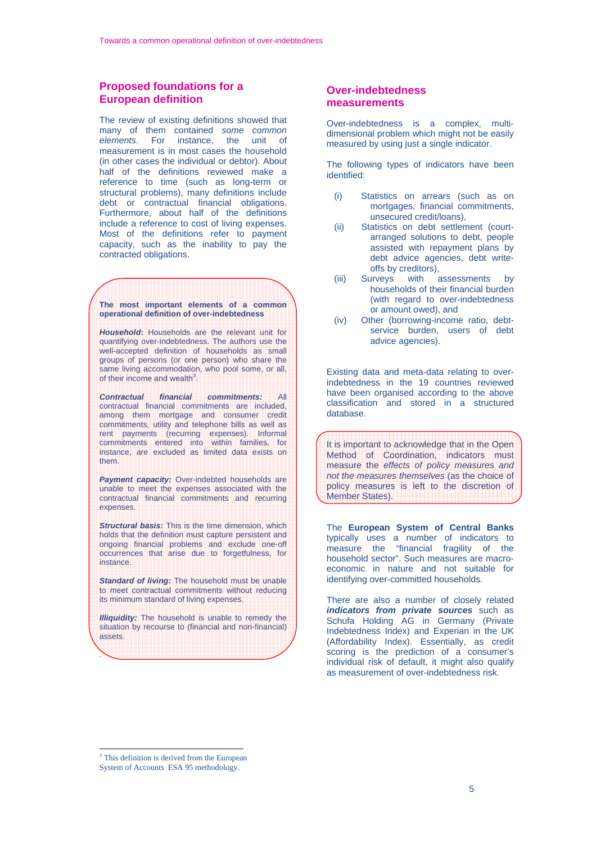## **Proposed foundations for a European definition**

The review of existing definitions showed that many of them contained *some common elements*. For instance, the unit of measurement is in most cases the household (in other cases the individual or debtor). About half of the definitions reviewed make a reference to time (such as long-term or structural problems), many definitions include debt or contractual financial obligations. Furthermore, about half of the definitions include a reference to cost of living expenses. Most of the definitions refer to payment capacity, such as the inability to pay the contracted obligations.

**The most important elements of a common operational definition of over-indebtedness** 

*Household***:** Households are the relevant unit for quantifying over-indebtedness. The authors use the well-accepted definition of households as small groups of persons (or one person) who share the same living accommodation, who pool some, or all, of their income and wealth<sup>3</sup>.

*Contractual financial commitments:* All contractual financial commitments are included, among them mortgage and consumer credit commitments, utility and telephone bills as well as rent payments (recurring expenses). Informal commitments entered into within families, for instance, are excluded as limited data exists on them.

**Payment capacity:** Over-indebted households are unable to meet the expenses associated with the contractual financial commitments and recurring expenses.

*Structural basis:* This is the time dimension, which holds that the definition must capture persistent and ongoing financial problems and exclude one-off occurrences that arise due to forgetfulness, for instance.

*Standard of living:* The household must be unable to meet contractual commitments without reducing its minimum standard of living expenses.

*Illiquidity:* The household is unable to remedy the situation by recourse to (financial and non-financial) assets.

## **Over-indebtedness measurements**

Over-indebtedness is a complex, multidimensional problem which might not be easily measured by using just a single indicator.

The following types of indicators have been identified:

- (i) Statistics on arrears (such as on mortgages, financial commitments, unsecured credit/loans),
- (ii) Statistics on debt settlement (courtarranged solutions to debt, people assisted with repayment plans by debt advice agencies, debt writeoffs by creditors),
- (iii) Surveys with assessments by households of their financial burden (with regard to over-indebtedness or amount owed), and
- (iv) Other (borrowing-income ratio, debtservice burden, users of debt advice agencies).

Existing data and meta-data relating to overindebtedness in the 19 countries reviewed have been organised according to the above classification and stored in a structured database.

It is important to acknowledge that in the Open Method of Coordination, indicators must measure the *effects of policy measures and not the measures themselves* (as the choice of policy measures is left to the discretion of Member States).

The **European System of Central Banks** typically uses a number of indicators to measure the "financial fragility of the household sector". Such measures are macroeconomic in nature and not suitable for identifying over-committed households.

There are also a number of closely related *indicators from private sources* such as Schufa Holding AG in Germany (Private Indebtedness Index) and Experian in the UK (Affordability Index). Essentially, as credit scoring is the prediction of a consumer's individual risk of default, it might also qualify as measurement of over-indebtedness risk.

.

l

<sup>&</sup>lt;sup>3</sup> This definition is derived from the European

System of Accounts ESA 95 methodology.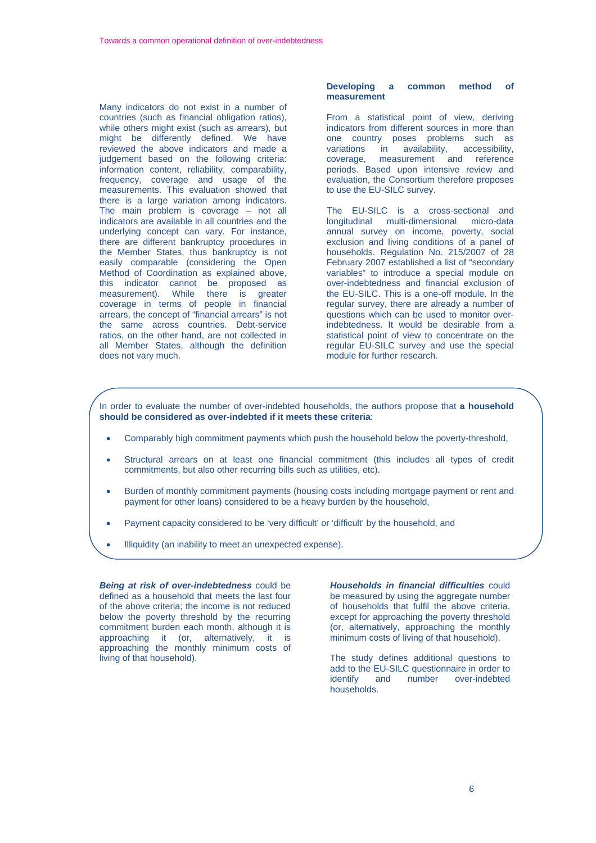Many indicators do not exist in a number of countries (such as financial obligation ratios), while others might exist (such as arrears), but might be differently defined. We have reviewed the above indicators and made a judgement based on the following criteria: information content, reliability, comparability, frequency, coverage and usage of the measurements. This evaluation showed that there is a large variation among indicators. The main problem is coverage – not all indicators are available in all countries and the underlying concept can vary. For instance, there are different bankruptcy procedures in the Member States, thus bankruptcy is not easily comparable (considering the Open Method of Coordination as explained above, this indicator cannot be proposed as measurement). While there is greater coverage in terms of people in financial arrears, the concept of "financial arrears" is not the same across countries. Debt-service ratios, on the other hand, are not collected in all Member States, although the definition does not vary much.

ſ

#### **Developing a common method of measurement**

From a statistical point of view, deriving indicators from different sources in more than one country poses problems such as variations in availability, accessibility, coverage, measurement and reference periods. Based upon intensive review and evaluation, the Consortium therefore proposes to use the EU-SILC survey.

The EU-SILC is a cross-sectional and longitudinal multi-dimensional micro-data annual survey on income, poverty, social exclusion and living conditions of a panel of households. Regulation No. 215/2007 of 28 February 2007 established a list of "secondary variables" to introduce a special module on over-indebtedness and financial exclusion of the EU-SILC. This is a one-off module. In the regular survey, there are already a number of questions which can be used to monitor overindebtedness. It would be desirable from a statistical point of view to concentrate on the regular EU-SILC survey and use the special module for further research.

In order to evaluate the number of over-indebted households, the authors propose that **a household should be considered as over-indebted if it meets these criteria**:

- Comparably high commitment payments which push the household below the poverty-threshold,
- Structural arrears on at least one financial commitment (this includes all types of credit commitments, but also other recurring bills such as utilities, etc).
- Burden of monthly commitment payments (housing costs including mortgage payment or rent and payment for other loans) considered to be a heavy burden by the household,
- Payment capacity considered to be 'very difficult' or 'difficult' by the household, and
- Illiquidity (an inability to meet an unexpected expense).

*Being at risk of over-indebtedness* could be defined as a household that meets the last four of the above criteria; the income is not reduced below the poverty threshold by the recurring commitment burden each month, although it is approaching it (or, alternatively, it is approaching the monthly minimum costs of living of that household).

*Households in financial difficulties* could be measured by using the aggregate number of households that fulfil the above criteria, except for approaching the poverty threshold (or, alternatively, approaching the monthly minimum costs of living of that household).

The study defines additional questions to add to the EU-SILC questionnaire in order to<br>identify and number over-indebted identify and number over-indebted households.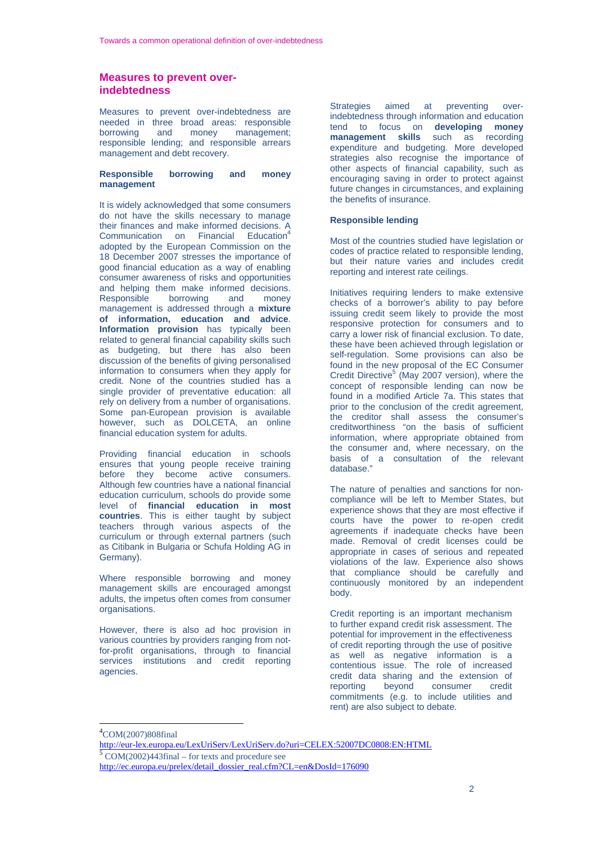## **Measures to prevent overindebtedness**

Measures to prevent over-indebtedness are needed in three broad areas: responsible borrowing and money management; responsible lending; and responsible arrears management and debt recovery.

#### **Responsible borrowing and money management**

It is widely acknowledged that some consumers do not have the skills necessary to manage their finances and make informed decisions. A Communication on Financial Education<sup>4</sup> adopted by the European Commission on the 18 December 2007 stresses the importance of good financial education as a way of enabling consumer awareness of risks and opportunities and helping them make informed decisions.<br>Responsible borrowing and money Responsible borrowing and money management is addressed through a **mixture of information, education and advice**. **Information provision** has typically been related to general financial capability skills such as budgeting, but there has also been discussion of the benefits of giving personalised information to consumers when they apply for credit. None of the countries studied has a single provider of preventative education: all rely on delivery from a number of organisations. Some pan-European provision is available however, such as DOLCETA, an online financial education system for adults.

Providing financial education in schools ensures that young people receive training before they become active consumers. Although few countries have a national financial education curriculum, schools do provide some level of **financial education in most countries**. This is either taught by subject teachers through various aspects of the curriculum or through external partners (such as Citibank in Bulgaria or Schufa Holding AG in Germany).

Where responsible borrowing and money management skills are encouraged amongst adults, the impetus often comes from consumer organisations.

However, there is also ad hoc provision in various countries by providers ranging from notfor-profit organisations, through to financial services institutions and credit reporting agencies.

Strategies aimed at preventing overindebtedness through information and education tend to focus on **developing money management skills** such as recording expenditure and budgeting. More developed strategies also recognise the importance of other aspects of financial capability, such as encouraging saving in order to protect against future changes in circumstances, and explaining the benefits of insurance.

#### **Responsible lending**

Most of the countries studied have legislation or codes of practice related to responsible lending, but their nature varies and includes credit reporting and interest rate ceilings.

Initiatives requiring lenders to make extensive checks of a borrower's ability to pay before issuing credit seem likely to provide the most responsive protection for consumers and to carry a lower risk of financial exclusion. To date, these have been achieved through legislation or self-regulation. Some provisions can also be found in the new proposal of the EC Consumer Credit Directive $5$  (May 2007 version), where the concept of responsible lending can now be found in a modified Article 7a. This states that prior to the conclusion of the credit agreement, the creditor shall assess the consumer's creditworthiness "on the basis of sufficient information, where appropriate obtained from the consumer and, where necessary, on the basis of a consultation of the relevant database."

The nature of penalties and sanctions for noncompliance will be left to Member States, but experience shows that they are most effective if courts have the power to re-open credit agreements if inadequate checks have been made. Removal of credit licenses could be appropriate in cases of serious and repeated violations of the law. Experience also shows that compliance should be carefully and continuously monitored by an independent body.

Credit reporting is an important mechanism to further expand credit risk assessment. The potential for improvement in the effectiveness of credit reporting through the use of positive as well as negative information is a contentious issue. The role of increased credit data sharing and the extension of<br>reporting bevond consumer credit consumer commitments (e.g. to include utilities and rent) are also subject to debate.

l

<sup>4</sup> COM(2007)808final

<http://eur-lex.europa.eu/LexUriServ/LexUriServ.do?uri=CELEX:52007DC0808:EN:HTML> <sup>5</sup>  $5$  COM(2002)443final – for texts and procedure see

[http://ec.europa.eu/prelex/detail\\_dossier\\_real.cfm?CL=en&DosId=176090](http://ec.europa.eu/prelex/detail_dossier_real.cfm?CL=en&DosId=176090)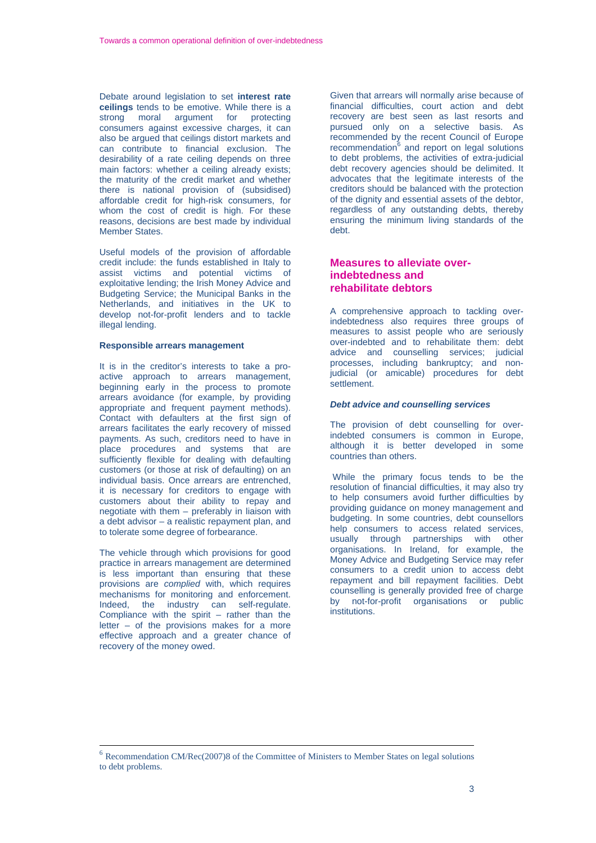Debate around legislation to set **interest rate ceilings** tends to be emotive. While there is a strong moral argument for protecting consumers against excessive charges, it can also be argued that ceilings distort markets and can contribute to financial exclusion. The desirability of a rate ceiling depends on three main factors: whether a ceiling already exists; the maturity of the credit market and whether there is national provision of (subsidised) affordable credit for high-risk consumers, for whom the cost of credit is high. For these reasons, decisions are best made by individual Member States.

Useful models of the provision of affordable credit include: the funds established in Italy to assist victims and potential victims of exploitative lending; the Irish Money Advice and Budgeting Service; the Municipal Banks in the Netherlands, and initiatives in the UK to develop not-for-profit lenders and to tackle illegal lending.

#### **Responsible arrears management**

It is in the creditor's interests to take a proactive approach to arrears management, beginning early in the process to promote arrears avoidance (for example, by providing appropriate and frequent payment methods). Contact with defaulters at the first sign of arrears facilitates the early recovery of missed payments. As such, creditors need to have in place procedures and systems that are sufficiently flexible for dealing with defaulting customers (or those at risk of defaulting) on an individual basis. Once arrears are entrenched, it is necessary for creditors to engage with customers about their ability to repay and negotiate with them – preferably in liaison with a debt advisor – a realistic repayment plan, and to tolerate some degree of forbearance.

The vehicle through which provisions for good practice in arrears management are determined is less important than ensuring that these provisions are *complied* with, which requires mechanisms for monitoring and enforcement. Indeed, the industry can self-regulate. Compliance with the spirit – rather than the letter – of the provisions makes for a more effective approach and a greater chance of recovery of the money owed.

Given that arrears will normally arise because of financial difficulties, court action and debt recovery are best seen as last resorts and pursued only on a selective basis. As recommended by the recent Council of Europe recommendation<sup>6</sup> and report on legal solutions to debt problems, the activities of extra-judicial debt recovery agencies should be delimited. It advocates that the legitimate interests of the creditors should be balanced with the protection of the dignity and essential assets of the debtor, regardless of any outstanding debts, thereby ensuring the minimum living standards of the debt.

## **Measures to alleviate overindebtedness and rehabilitate debtors**

A comprehensive approach to tackling overindebtedness also requires three groups of measures to assist people who are seriously over-indebted and to rehabilitate them: debt advice and counselling services; judicial processes, including bankruptcy; and nonjudicial (or amicable) procedures for debt settlement.

#### *Debt advice and counselling services*

The provision of debt counselling for overindebted consumers is common in Europe, although it is better developed in some countries than others.

 While the primary focus tends to be the resolution of financial difficulties, it may also try to help consumers avoid further difficulties by providing guidance on money management and budgeting. In some countries, debt counsellors help consumers to access related services, usually through partnerships with other organisations. In Ireland, for example, the Money Advice and Budgeting Service may refer consumers to a credit union to access debt repayment and bill repayment facilities. Debt counselling is generally provided free of charge by not-for-profit organisations or public institutions.

<sup>&</sup>lt;sup>6</sup> Recommendation CM/Rec(2007)8 of the Committee of Ministers to Member States on legal solutions to debt problems.